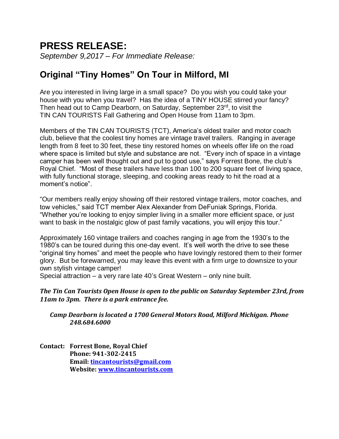## **PRESS RELEASE:**

*September 9,2017 – For Immediate Release:*

## **Original "Tiny Homes" On Tour in Milford, MI**

Are you interested in living large in a small space? Do you wish you could take your house with you when you travel? Has the idea of a TINY HOUSE stirred your fancy? Then head out to Camp Dearborn, on Saturday, September 23rd, to visit the TIN CAN TOURISTS Fall Gathering and Open House from 11am to 3pm.

Members of the TIN CAN TOURISTS (TCT), America's oldest trailer and motor coach club, believe that the coolest tiny homes are vintage travel trailers. Ranging in average length from 8 feet to 30 feet, these tiny restored homes on wheels offer life on the road where space is limited but style and substance are not. "Every inch of space in a vintage camper has been well thought out and put to good use," says Forrest Bone, the club's Royal Chief. "Most of these trailers have less than 100 to 200 square feet of living space, with fully functional storage, sleeping, and cooking areas ready to hit the road at a moment's notice".

"Our members really enjoy showing off their restored vintage trailers, motor coaches, and tow vehicles," said TCT member Alex Alexander from DeFuniak Springs, Florida. "Whether you're looking to enjoy simpler living in a smaller more efficient space, or just want to bask in the nostalgic glow of past family vacations, you will enjoy this tour."

Approximately 160 vintage trailers and coaches ranging in age from the 1930's to the 1980's can be toured during this one-day event. It's well worth the drive to see these "original tiny homes" and meet the people who have lovingly restored them to their former glory. But be forewarned, you may leave this event with a firm urge to downsize to your own stylish vintage camper!

Special attraction – a very rare late 40's Great Western – only nine built.

## *The Tin Can Tourists Open House is open to the public on Saturday September 23rd, from 11am to 3pm. There is a park entrance fee.*

## *Camp Dearborn is located a 1700 General Motors Road, Milford Michigan. Phone 248.684.6000*

**Contact: Forrest Bone, Royal Chief Phone: 941-302-2415 Email: [tincantourists@gmail.com](mailto:tincantourists@gmail.com) Website: [www.tincantourists.com](http://www.tincantourists.com/)**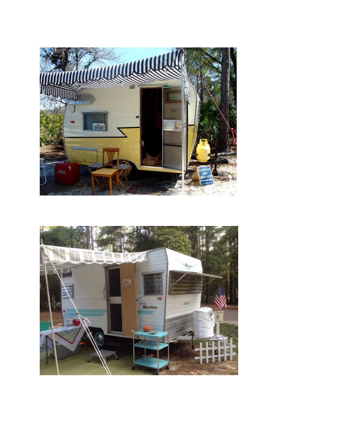